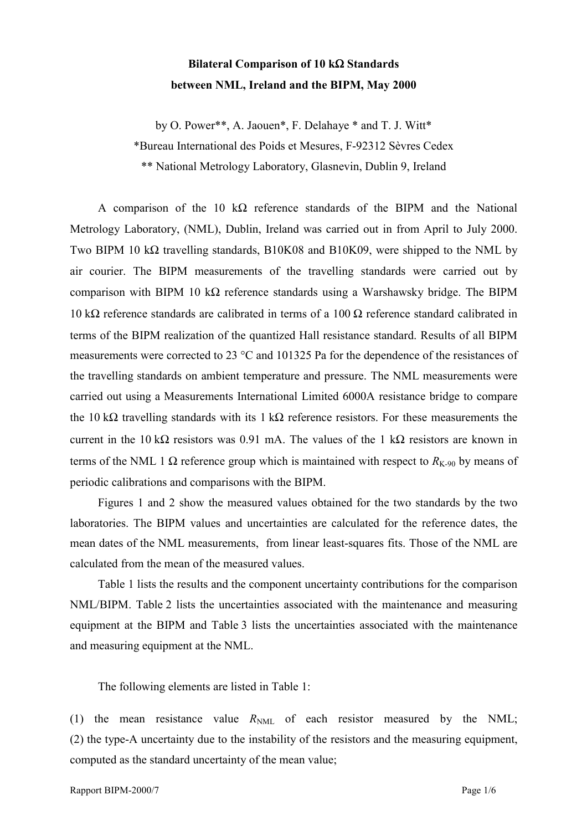## **Bilateral Comparison of 10 k**Ω **Standards between NML, Ireland and the BIPM, May 2000**

by O. Power\*\*, A. Jaouen\*, F. Delahaye \* and T. J. Witt\*

\*Bureau International des Poids et Mesures, F-92312 Sèvres Cedex

\*\* National Metrology Laboratory, Glasnevin, Dublin 9, Ireland

A comparison of the 10 k $\Omega$  reference standards of the BIPM and the National Metrology Laboratory, (NML), Dublin, Ireland was carried out in from April to July 2000. Two BIPM 10 kΩ travelling standards, B10K08 and B10K09, were shipped to the NML by air courier. The BIPM measurements of the travelling standards were carried out by comparison with BIPM 10 k $\Omega$  reference standards using a Warshawsky bridge. The BIPM 10 kΩ reference standards are calibrated in terms of a 100 Ω reference standard calibrated in terms of the BIPM realization of the quantized Hall resistance standard. Results of all BIPM measurements were corrected to 23 °C and 101325 Pa for the dependence of the resistances of the travelling standards on ambient temperature and pressure. The NML measurements were carried out using a Measurements International Limited 6000A resistance bridge to compare the 10 k $\Omega$  travelling standards with its 1 k $\Omega$  reference resistors. For these measurements the current in the 10 kΩ resistors was 0.91 mA. The values of the 1 kΩ resistors are known in terms of the NML 1 Ω reference group which is maintained with respect to  $R_{K-90}$  by means of periodic calibrations and comparisons with the BIPM.

Figures 1 and 2 show the measured values obtained for the two standards by the two laboratories. The BIPM values and uncertainties are calculated for the reference dates, the mean dates of the NML measurements, from linear least-squares fits. Those of the NML are calculated from the mean of the measured values.

Table 1 lists the results and the component uncertainty contributions for the comparison NML/BIPM. Table 2 lists the uncertainties associated with the maintenance and measuring equipment at the BIPM and Table 3 lists the uncertainties associated with the maintenance and measuring equipment at the NML.

The following elements are listed in Table 1:

(1) the mean resistance value  $R_{NML}$  of each resistor measured by the NML; (2) the type-A uncertainty due to the instability of the resistors and the measuring equipment, computed as the standard uncertainty of the mean value;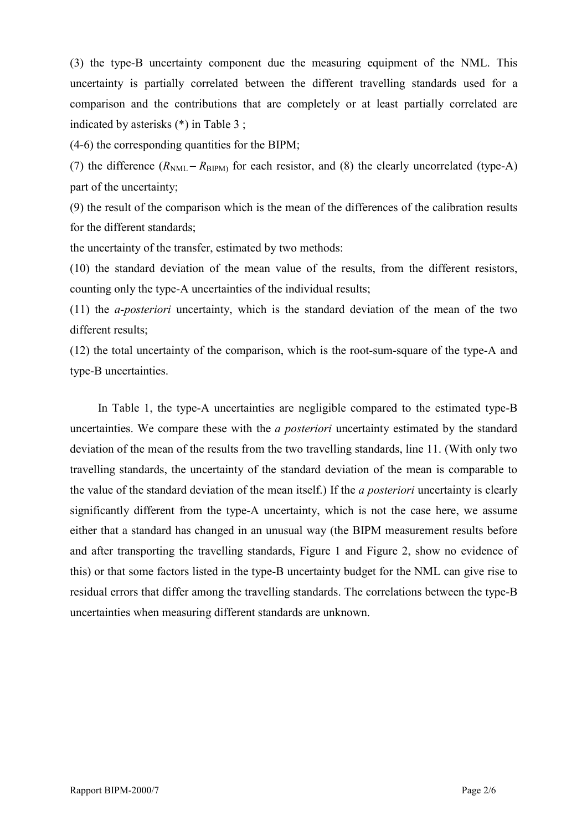(3) the type-B uncertainty component due the measuring equipment of the NML. This uncertainty is partially correlated between the different travelling standards used for a comparison and the contributions that are completely or at least partially correlated are indicated by asterisks (\*) in Table 3 ;

(4-6) the corresponding quantities for the BIPM;

(7) the difference  $(R_{NML} - R_{BIPM})$  for each resistor, and (8) the clearly uncorrelated (type-A) part of the uncertainty;

(9) the result of the comparison which is the mean of the differences of the calibration results for the different standards;

the uncertainty of the transfer, estimated by two methods:

(10) the standard deviation of the mean value of the results, from the different resistors, counting only the type-A uncertainties of the individual results;

(11) the *a-posteriori* uncertainty, which is the standard deviation of the mean of the two different results;

(12) the total uncertainty of the comparison, which is the root-sum-square of the type-A and type-B uncertainties.

In Table 1, the type-A uncertainties are negligible compared to the estimated type-B uncertainties. We compare these with the *a posteriori* uncertainty estimated by the standard deviation of the mean of the results from the two travelling standards, line 11. (With only two travelling standards, the uncertainty of the standard deviation of the mean is comparable to the value of the standard deviation of the mean itself.) If the *a posteriori* uncertainty is clearly significantly different from the type-A uncertainty, which is not the case here, we assume either that a standard has changed in an unusual way (the BIPM measurement results before and after transporting the travelling standards, Figure 1 and Figure 2, show no evidence of this) or that some factors listed in the type-B uncertainty budget for the NML can give rise to residual errors that differ among the travelling standards. The correlations between the type-B uncertainties when measuring different standards are unknown.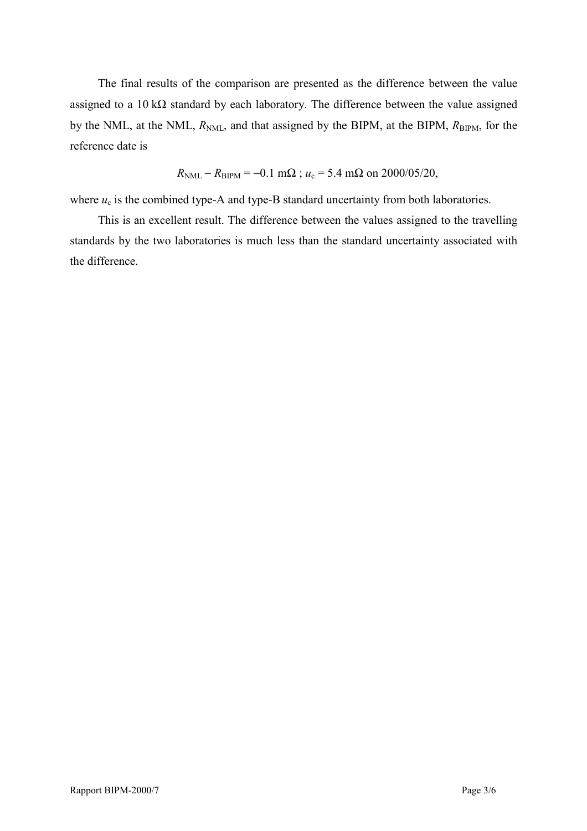The final results of the comparison are presented as the difference between the value assigned to a 10 k $\Omega$  standard by each laboratory. The difference between the value assigned by the NML, at the NML,  $R_{NML}$ , and that assigned by the BIPM, at the BIPM,  $R_{BIPM}$ , for the reference date is

 $R_{\text{NML}} - R_{\text{BIPM}} = -0.1 \text{ m}\Omega$ ;  $u_c = 5.4 \text{ m}\Omega$  on 2000/05/20,

where  $u_c$  is the combined type-A and type-B standard uncertainty from both laboratories.

This is an excellent result. The difference between the values assigned to the travelling standards by the two laboratories is much less than the standard uncertainty associated with the difference.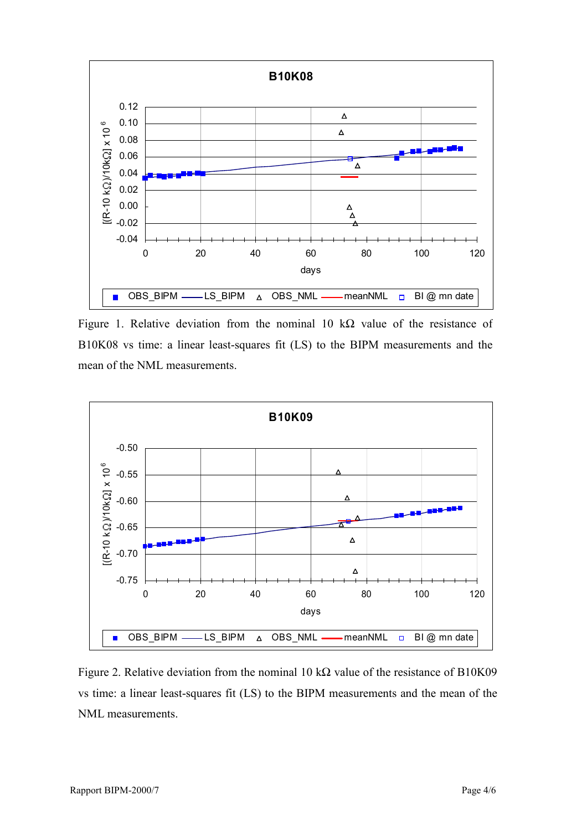

Figure 1. Relative deviation from the nominal 10 k $\Omega$  value of the resistance of B10K08 vs time: a linear least-squares fit (LS) to the BIPM measurements and the mean of the NML measurements.



Figure 2. Relative deviation from the nominal 10 k $\Omega$  value of the resistance of B10K09 vs time: a linear least-squares fit (LS) to the BIPM measurements and the mean of the NML measurements.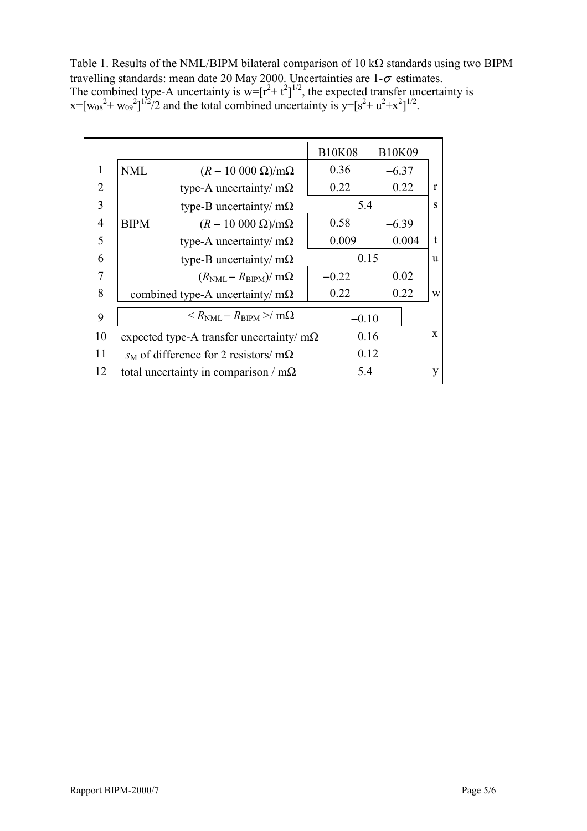Table 1. Results of the NML/BIPM bilateral comparison of 10 kΩ standards using two BIPM travelling standards: mean date 20 May 2000. Uncertainties are  $1-\sigma$  estimates. The combined type-A uncertainty is  $w=[r^2+t^2]^{1/2}$ , the expected transfer uncertainty is  $x=[w_{08}^2+w_{09}^2]^{1/2}/2$  and the total combined uncertainty is  $y=[s^2+w^2+x^2]^{1/2}$ .

|                |                                                                   |                                                 | <b>B10K08</b> | <b>B10K09</b> |              |
|----------------|-------------------------------------------------------------------|-------------------------------------------------|---------------|---------------|--------------|
| $\mathbf{1}$   | <b>NML</b>                                                        | $(R-10\ 000\ \Omega)/m\Omega$                   | 0.36          | $-6.37$       |              |
| 2              |                                                                   | type-A uncertainty/ $m\Omega$                   | 0.22          | 0.22          | $\mathbf{r}$ |
| 3              |                                                                   | type-B uncertainty/ $m\Omega$                   | 5.4           |               | S            |
| $\overline{4}$ | <b>BIPM</b>                                                       | $(R-10\ 000\ \Omega)/m\Omega$                   | 0.58          | $-6.39$       |              |
| 5              |                                                                   | type-A uncertainty/ $m\Omega$                   | 0.009         | 0.004         | $\mathbf{f}$ |
| 6              |                                                                   | type-B uncertainty/ $m\Omega$                   | 0.15          |               | u            |
| 7              |                                                                   | $(R_{\text{NML}} - R_{\text{BIPM}})/m\Omega$    | $-0.22$       | 0.02          |              |
| 8              |                                                                   | combined type-A uncertainty/ $m\Omega$          | 0.22          | 0.22          | W            |
| 9              | $\langle R_{\rm NML} - R_{\rm RIPM} \rangle / m\Omega$<br>$-0.10$ |                                                 |               |               |              |
| 10             |                                                                   | expected type-A transfer uncertainty/ $m\Omega$ |               | 0.16          | $\mathbf{X}$ |
| 11             |                                                                   | $s_M$ of difference for 2 resistors/ m $\Omega$ |               | 0.12          |              |
| 12             |                                                                   | total uncertainty in comparison / $m\Omega$     | 5.4           |               | y            |
|                |                                                                   |                                                 |               |               |              |